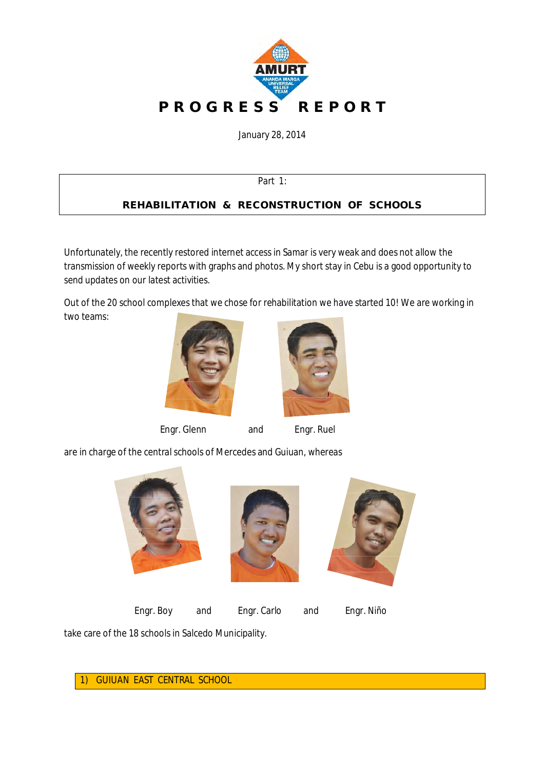

January 28, 2014

Part 1:

## **REHABILITATION & RECONSTRUCTION OF SCHOOLS**

Unfortunately, the recently restored internet access in Samar is very weak and does not allow the transmission of weekly reports with graphs and photos. My short stay in Cebu is a good opportunity to send updates on our latest activities.

Out of the 20 school complexes that we chose for rehabilitation we have started 10! We are working in two teams:





are in charge of the central schools of Mercedes and Guiuan, whereas







Engr. Boy and Engr. Carlo and Engr. Niño

take care of the 18 schools in Salcedo Municipality.

1) GUIUAN EAST CENTRAL SCHOOL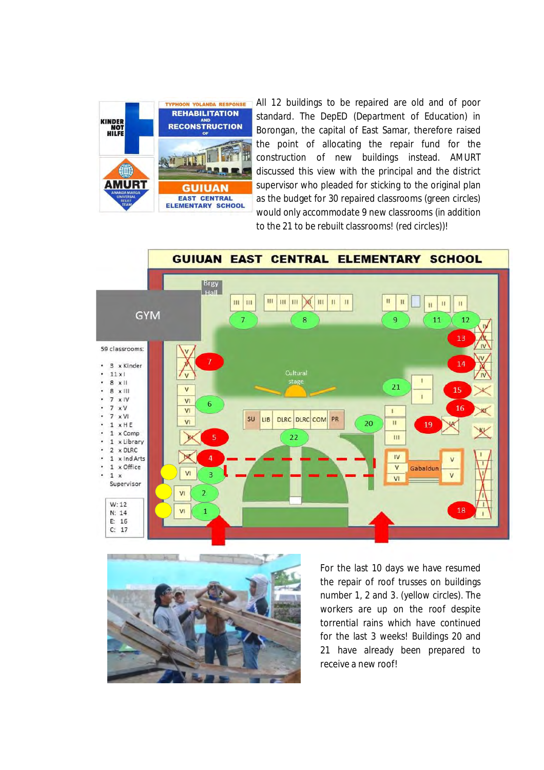

All 12 buildings to be repaired are old and of poor standard. The DepED (Department of Education) in Borongan, the capital of East Samar, therefore raised the point of allocating the repair fund for the construction of new buildings instead. AMURT discussed this view with the principal and the district supervisor who pleaded for sticking to the original plan as the budget for 30 repaired classrooms (green circles) would only accommodate 9 new classrooms (in addition to the 21 to be rebuilt classrooms! (red circles))!





For the last 10 days we have resumed the repair of roof trusses on buildings number 1, 2 and 3. (yellow circles). The workers are up on the roof despite torrential rains which have continued for the last 3 weeks! Buildings 20 and 21 have already been prepared to receive a new roof!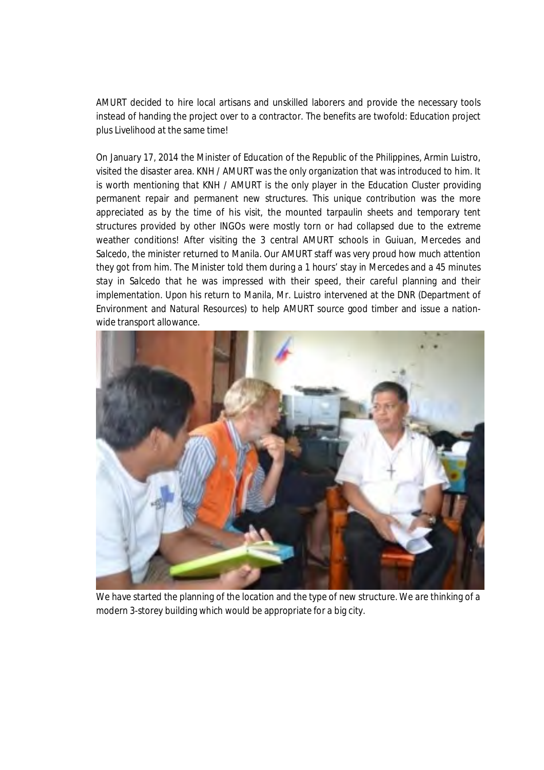AMURT decided to hire local artisans and unskilled laborers and provide the necessary tools instead of handing the project over to a contractor. The benefits are twofold: Education project plus Livelihood at the same time!

On January 17, 2014 the Minister of Education of the Republic of the Philippines, Armin Luistro, visited the disaster area. KNH / AMURT was the only organization that was introduced to him. It is worth mentioning that KNH / AMURT is the only player in the Education Cluster providing permanent repair and permanent new structures. This unique contribution was the more appreciated as by the time of his visit, the mounted tarpaulin sheets and temporary tent structures provided by other INGOs were mostly torn or had collapsed due to the extreme weather conditions! After visiting the 3 central AMURT schools in Guiuan, Mercedes and Salcedo, the minister returned to Manila. Our AMURT staff was very proud how much attention they got from him. The Minister told them during a 1 hours' stay in Mercedes and a 45 minutes stay in Salcedo that he was impressed with their speed, their careful planning and their implementation. Upon his return to Manila, Mr. Luistro intervened at the DNR (Department of Environment and Natural Resources) to help AMURT source good timber and issue a nationwide transport allowance.



We have started the planning of the location and the type of new structure. We are thinking of a modern 3-storey building which would be appropriate for a big city.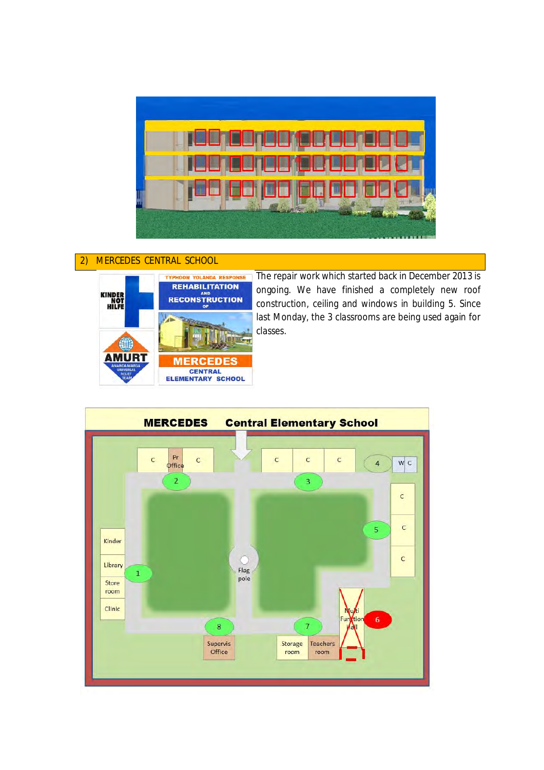

## 2) MERCEDES CENTRAL SCHOOL



The repair work which started back in December 2013 is ongoing. We have finished a completely new roof construction, ceiling and windows in building 5. Since last Monday, the 3 classrooms are being used again for classes.

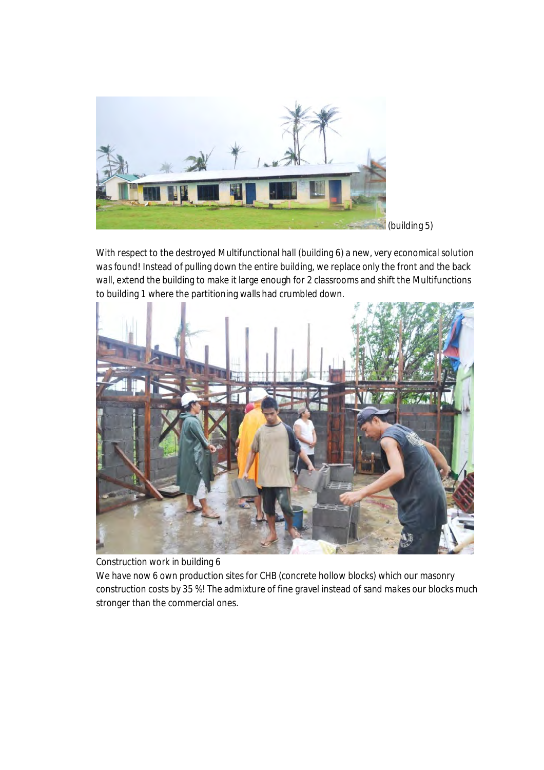

With respect to the destroyed Multifunctional hall (building 6) a new, very economical solution was found! Instead of pulling down the entire building, we replace only the front and the back wall, extend the building to make it large enough for 2 classrooms and shift the Multifunctions to building 1 where the partitioning walls had crumbled down.



Construction work in building 6

We have now 6 own production sites for CHB (concrete hollow blocks) which our masonry construction costs by 35 %! The admixture of fine gravel instead of sand makes our blocks much stronger than the commercial ones.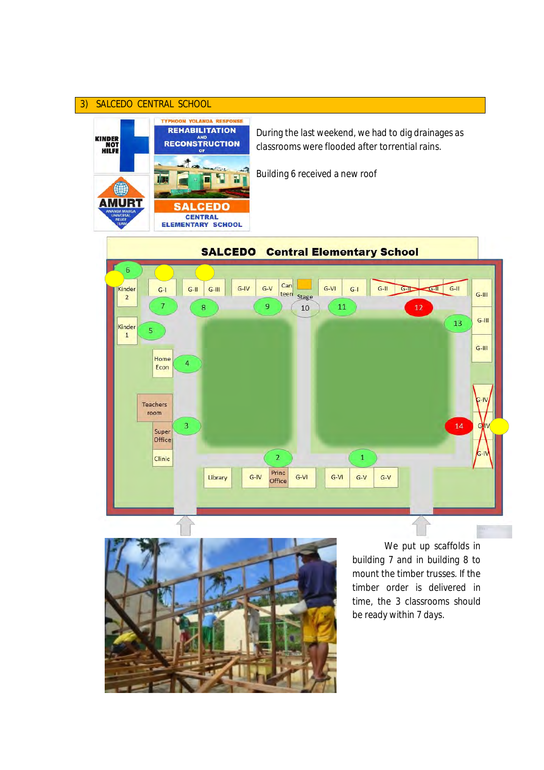## 3) SALCEDO CENTRAL SCHOOL



During the last weekend, we had to dig drainages as classrooms were flooded after torrential rains.

Building 6 received a new roof





We put up scaffolds in building 7 and in building 8 to mount the timber trusses. If the timber order is delivered in time, the 3 classrooms should be ready within 7 days.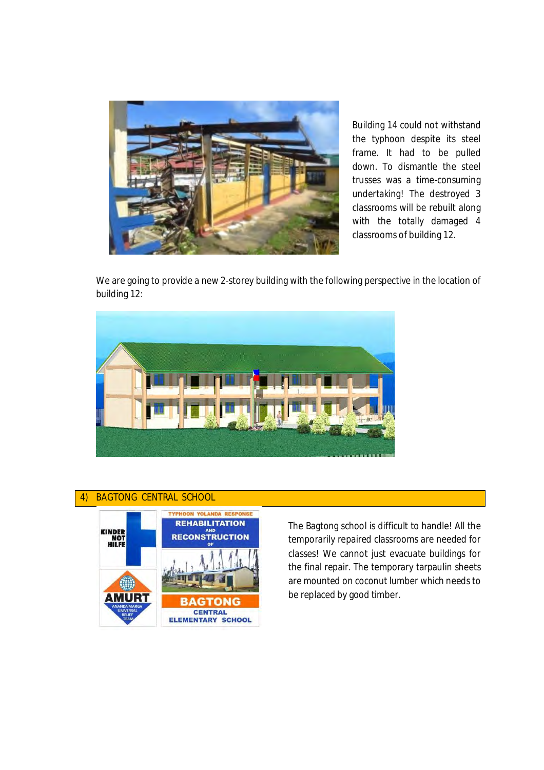

Building 14 could not withstand the typhoon despite its steel frame. It had to be pulled down. To dismantle the steel trusses was a time-consuming undertaking! The destroyed 3 classrooms will be rebuilt along with the totally damaged 4 classrooms of building 12.

We are going to provide a new 2-storey building with the following perspective in the location of building 12:







The Bagtong school is difficult to handle! All the temporarily repaired classrooms are needed for classes! We cannot just evacuate buildings for the final repair. The temporary tarpaulin sheets are mounted on coconut lumber which needs to be replaced by good timber.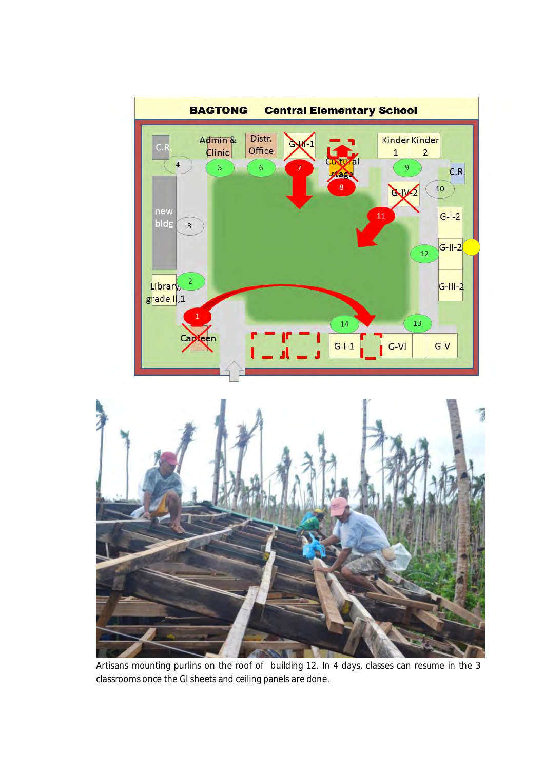



Artisans mounting purlins on the roof of building 12. In 4 days, classes can resume in the 3 classrooms once the GI sheets and ceiling panels are done.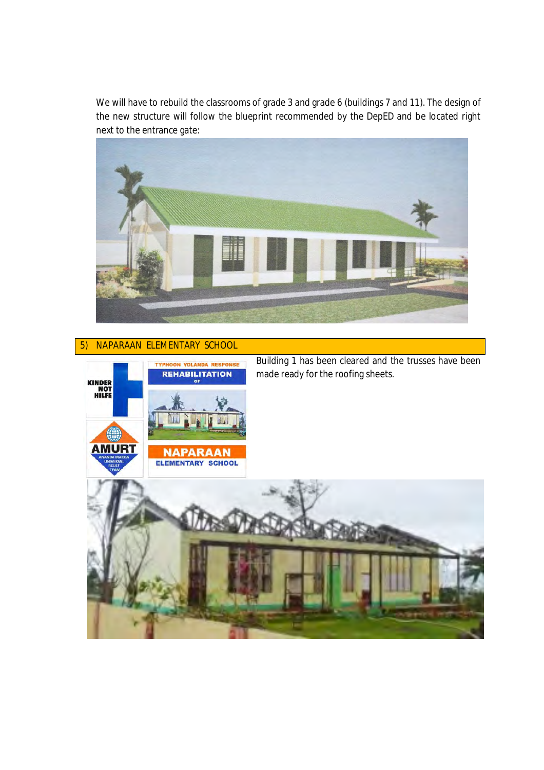We will have to rebuild the classrooms of grade 3 and grade 6 (buildings 7 and 11). The design of the new structure will follow the blueprint recommended by the DepED and be located right next to the entrance gate:



## 5) NAPARAAN ELEMENTARY SCHOOL

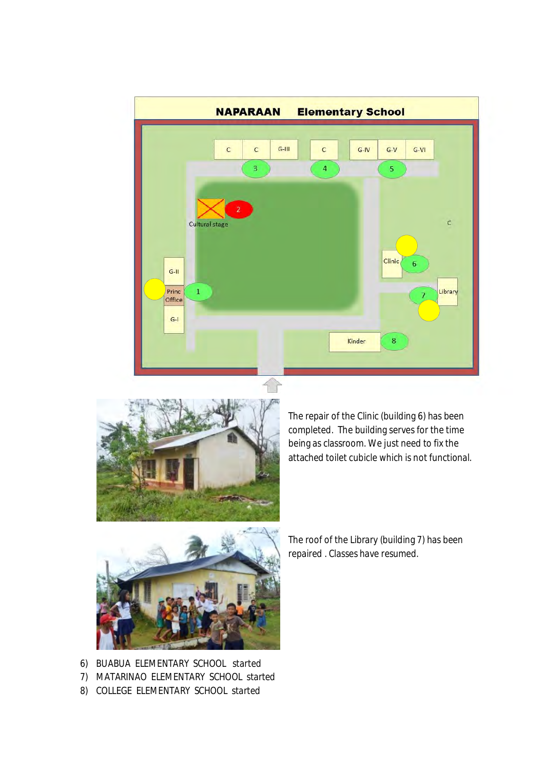



The repair of the Clinic (building 6) has been completed. The building serves for the time being as classroom. We just need to fix the attached toilet cubicle which is not functional.



The roof of the Library (building 7) has been repaired . Classes have resumed.

- 6) BUABUA ELEMENTARY SCHOOL started
- 7) MATARINAO ELEMENTARY SCHOOL started
- 8) COLLEGE ELEMENTARY SCHOOL started